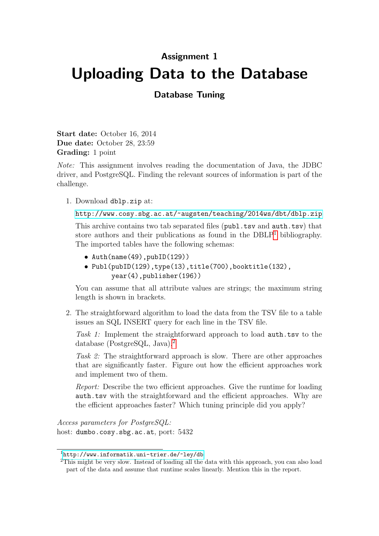## Assignment 1 Uploading Data to the Database

## Database Tuning

Start date: October 16, 2014 Due date: October 28, 23:59 Grading: 1 point

Note: This assignment involves reading the documentation of Java, the JDBC driver, and PostgreSQL. Finding the relevant sources of information is part of the challenge.

1. Download dblp.zip at:

```
http://www.cosy.sbg.ac.at/~augsten/teaching/2014ws/dbt/dblp.zip
```
This archive contains two tab separated files (publ.tsv and auth.tsv) that store authors and their publications as found in the  $DBLP<sup>1</sup>$  $DBLP<sup>1</sup>$  $DBLP<sup>1</sup>$  bibliography. The imported tables have the following schemas:

- Auth(name(49),pubID(129))
- Publ(pubID(129),type(13),title(700),booktitle(132), year(4),publisher(196))

You can assume that all attribute values are strings; the maximum string length is shown in brackets.

2. The straightforward algorithm to load the data from the TSV file to a table issues an SQL INSERT query for each line in the TSV file.

Task 1: Implement the straightforward approach to load auth.tsv to the database (PostgreSQL, Java).[2](#page-0-1)

Task 2: The straightforward approach is slow. There are other approaches that are significantly faster. Figure out how the efficient approaches work and implement two of them.

Report: Describe the two efficient approaches. Give the runtime for loading auth.tsv with the straightforward and the efficient approaches. Why are the efficient approaches faster? Which tuning principle did you apply?

Access parameters for PostgreSQL: host: dumbo.cosy.sbg.ac.at, port: 5432

<span id="page-0-0"></span> $1$ <http://www.informatik.uni-trier.de/~ley/db>

<span id="page-0-1"></span><sup>&</sup>lt;sup>2</sup>This might be very slow. Instead of loading all the data with this approach, you can also load part of the data and assume that runtime scales linearly. Mention this in the report.